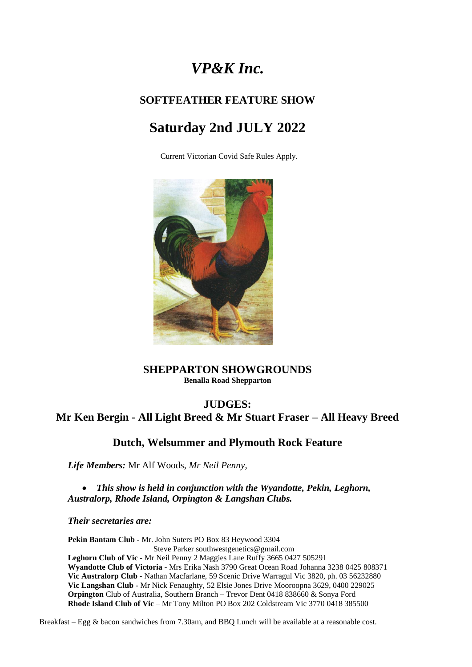# *VP&K Inc.*

## **SOFTFEATHER FEATURE SHOW**

# **Saturday 2nd JULY 2022**

Current Victorian Covid Safe Rules Apply.



#### **SHEPPARTON SHOWGROUNDS Benalla Road Shepparton**

## **JUDGES:**

**Mr Ken Bergin - All Light Breed & Mr Stuart Fraser – All Heavy Breed**

## **Dutch, Welsummer and Plymouth Rock Feature**

*Life Members:* Mr Alf Woods, *Mr Neil Penny,* 

• *This show is held in conjunction with the Wyandotte, Pekin, Leghorn, Australorp, Rhode Island, Orpington & Langshan Clubs.*

*Their secretaries are:*

**Pekin Bantam Club -** Mr. John Suters PO Box 83 Heywood 3304 Steve Parker southwestgenetics@gmail.com **Leghorn Club of Vic -** Mr Neil Penny 2 Maggies Lane Ruffy 3665 0427 505291 **Wyandotte Club of Victoria -** Mrs Erika Nash 3790 Great Ocean Road Johanna 3238 0425 808371 **Vic Australorp Club -** Nathan Macfarlane, 59 Scenic Drive Warragul Vic 3820, ph. 03 56232880 **Vic Langshan Club -** Mr Nick Fenaughty, 52 Elsie Jones Drive Mooroopna 3629, 0400 229025 **Orpington** Club of Australia, Southern Branch – Trevor Dent 0418 838660 & Sonya Ford **Rhode Island Club of Vic** – Mr Tony Milton PO Box 202 Coldstream Vic 3770 0418 385500

Breakfast – Egg & bacon sandwiches from 7.30am, and BBQ Lunch will be available at a reasonable cost.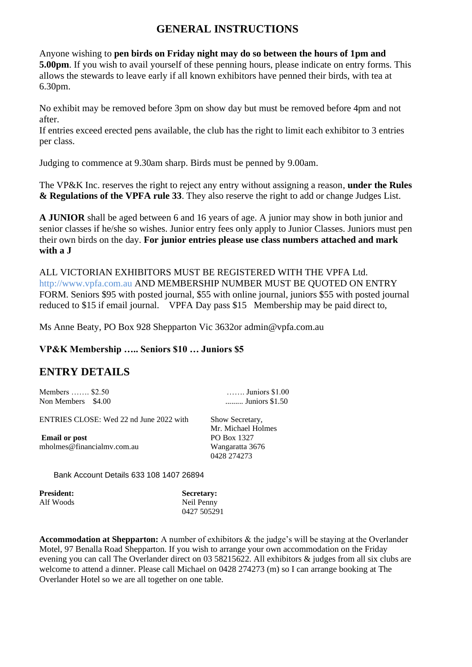## **GENERAL INSTRUCTIONS**

Anyone wishing to **pen birds on Friday night may do so between the hours of 1pm and 5.00pm**. If you wish to avail yourself of these penning hours, please indicate on entry forms. This allows the stewards to leave early if all known exhibitors have penned their birds, with tea at 6.30pm.

No exhibit may be removed before 3pm on show day but must be removed before 4pm and not after.

If entries exceed erected pens available, the club has the right to limit each exhibitor to 3 entries per class.

Judging to commence at 9.30am sharp. Birds must be penned by 9.00am.

The VP&K Inc. reserves the right to reject any entry without assigning a reason, **under the Rules & Regulations of the VPFA rule 33**. They also reserve the right to add or change Judges List.

**A JUNIOR** shall be aged between 6 and 16 years of age. A junior may show in both junior and senior classes if he/she so wishes. Junior entry fees only apply to Junior Classes. Juniors must pen their own birds on the day. **For junior entries please use class numbers attached and mark with a J**

ALL VICTORIAN EXHIBITORS MUST BE REGISTERED WITH THE VPFA Ltd. http://www.vpfa.com.au AND MEMBERSHIP NUMBER MUST BE QUOTED ON ENTRY FORM. Seniors \$95 with posted journal, \$55 with online journal, juniors \$55 with posted journal reduced to \$15 if email journal. VPFA Day pass \$15 Membership may be paid direct to,

Ms Anne Beaty, PO Box 928 Shepparton Vic 3632or admin@vpfa.com.au

#### **VP&K Membership ….. Seniors \$10 … Juniors \$5**

### **ENTRY DETAILS**

| Members  \$2.50    | $\ldots$ Juniors \$1.00 |
|--------------------|-------------------------|
| Non Members \$4.00 | Juniors \$1.50          |

ENTRIES CLOSE: Wed 22 nd June 2022 with Show Secretary,

**Email or post** PO Box 1327 mholmes@financialmv.com.au Wangaratta 3676

 Mr. Michael Holmes 0428 274273

Bank Account Details 633 108 1407 26894

| <b>President:</b> | <b>Secretary:</b> |
|-------------------|-------------------|
| Alf Woods         | Neil Penny        |
|                   | 0427 505291       |

**Accommodation at Shepparton:** A number of exhibitors & the judge's will be staying at the Overlander Motel, 97 Benalla Road Shepparton. If you wish to arrange your own accommodation on the Friday evening you can call The Overlander direct on 03 58215622. All exhibitors & judges from all six clubs are welcome to attend a dinner. Please call Michael on 0428 274273 (m) so I can arrange booking at The Overlander Hotel so we are all together on one table.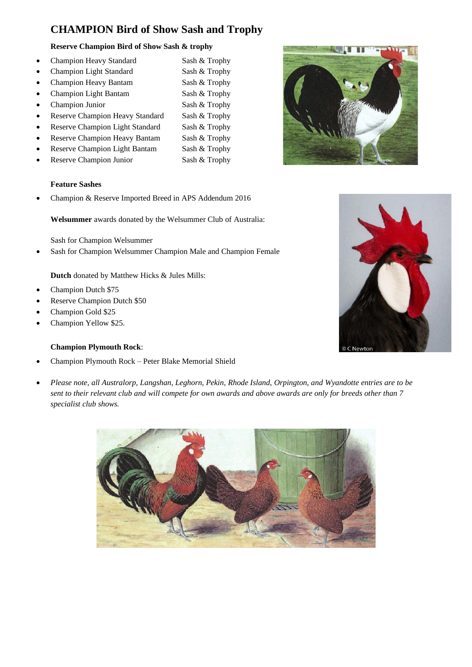## **CHAMPION Bird of Show Sash and Trophy**

#### **Reserve Champion Bird of Show Sash & trophy**

- Champion Heavy Standard Sash & Trophy
- Champion Light Standard Sash & Trophy
- Champion Heavy Bantam Sash & Trophy
- Champion Light Bantam Sash & Trophy
- 
- Reserve Champion Heavy Standard Sash & Trophy
- Reserve Champion Light Standard Sash & Trophy
- Reserve Champion Heavy Bantam Sash & Trophy
- Reserve Champion Light Bantam Sash & Trophy
- Reserve Champion Junior Sash & Trophy

#### **Feature Sashes**

• Champion & Reserve Imported Breed in APS Addendum 2016

**Welsummer** awards donated by the Welsummer Club of Australia:

Sash for Champion Welsummer

Sash for Champion Welsummer Champion Male and Champion Female

**Dutch** donated by Matthew Hicks & Jules Mills:

- Champion Dutch \$75
- Reserve Champion Dutch \$50
- Champion Gold \$25
- Champion Yellow \$25.

#### **Champion Plymouth Rock**:

- Champion Plymouth Rock Peter Blake Memorial Shield
- *Please note, all Australorp, Langshan, Leghorn, Pekin, Rhode Island, Orpington, and Wyandotte entries are to be sent to their relevant club and will compete for own awards and above awards are only for breeds other than 7 specialist club shows.*







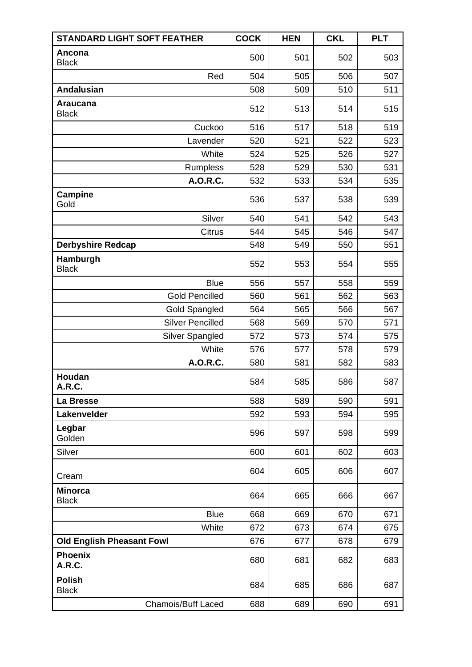| <b>STANDARD LIGHT SOFT FEATHER</b> | <b>COCK</b> | <b>HEN</b> | <b>CKL</b> | <b>PLT</b> |
|------------------------------------|-------------|------------|------------|------------|
| Ancona<br><b>Black</b>             | 500         | 501        | 502        | 503        |
| Red                                | 504         | 505        | 506        | 507        |
| <b>Andalusian</b>                  | 508         | 509        | 510        | 511        |
| <b>Araucana</b><br><b>Black</b>    | 512         | 513        | 514        | 515        |
| Cuckoo                             | 516         | 517        | 518        | 519        |
| Lavender                           | 520         | 521        | 522        | 523        |
| White                              | 524         | 525        | 526        | 527        |
| Rumpless                           | 528         | 529        | 530        | 531        |
| A.O.R.C.                           | 532         | 533        | 534        | 535        |
| <b>Campine</b><br>Gold             | 536         | 537        | 538        | 539        |
| Silver                             | 540         | 541        | 542        | 543        |
| <b>Citrus</b>                      | 544         | 545        | 546        | 547        |
| <b>Derbyshire Redcap</b>           | 548         | 549        | 550        | 551        |
| Hamburgh<br><b>Black</b>           | 552         | 553        | 554        | 555        |
| <b>Blue</b>                        | 556         | 557        | 558        | 559        |
| <b>Gold Pencilled</b>              | 560         | 561        | 562        | 563        |
| Gold Spangled                      | 564         | 565        | 566        | 567        |
| <b>Silver Pencilled</b>            | 568         | 569        | 570        | 571        |
| Silver Spangled                    | 572         | 573        | 574        | 575        |
| White                              | 576         | 577        | 578        | 579        |
| A.O.R.C.                           | 580         | 581        | 582        | 583        |
| Houdan<br>A.R.C.                   | 584         | 585        | 586        | 587        |
| La Bresse                          | 588         | 589        | 590        | 591        |
| Lakenvelder                        | 592         | 593        | 594        | 595        |
| Legbar<br>Golden                   | 596         | 597        | 598        | 599        |
| Silver                             | 600         | 601        | 602        | 603        |
| Cream                              | 604         | 605        | 606        | 607        |
| <b>Minorca</b><br><b>Black</b>     | 664         | 665        | 666        | 667        |
| <b>Blue</b>                        | 668         | 669        | 670        | 671        |
| White                              | 672         | 673        | 674        | 675        |
| <b>Old English Pheasant Fowl</b>   | 676         | 677        | 678        | 679        |
| <b>Phoenix</b><br>A.R.C.           | 680         | 681        | 682        | 683        |
| <b>Polish</b><br><b>Black</b>      | 684         | 685        | 686        | 687        |
| <b>Chamois/Buff Laced</b>          | 688         | 689        | 690        | 691        |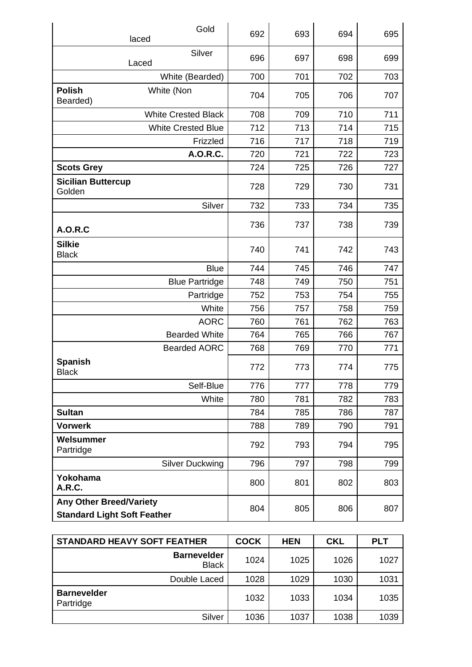|                                                                      | Gold<br>laced              | 692 | 693 | 694 | 695 |
|----------------------------------------------------------------------|----------------------------|-----|-----|-----|-----|
|                                                                      | Silver<br>Laced            | 696 | 697 | 698 | 699 |
|                                                                      | White (Bearded)            | 700 | 701 | 702 | 703 |
| <b>Polish</b><br>Bearded)                                            | White (Non                 | 704 | 705 | 706 | 707 |
|                                                                      | <b>White Crested Black</b> | 708 | 709 | 710 | 711 |
|                                                                      | <b>White Crested Blue</b>  | 712 | 713 | 714 | 715 |
|                                                                      | Frizzled                   | 716 | 717 | 718 | 719 |
|                                                                      | A.O.R.C.                   | 720 | 721 | 722 | 723 |
| <b>Scots Grey</b>                                                    |                            | 724 | 725 | 726 | 727 |
| <b>Sicilian Buttercup</b><br>Golden                                  |                            | 728 | 729 | 730 | 731 |
|                                                                      | Silver                     | 732 | 733 | 734 | 735 |
| <b>A.O.R.C</b>                                                       |                            | 736 | 737 | 738 | 739 |
| <b>Silkie</b><br><b>Black</b>                                        |                            | 740 | 741 | 742 | 743 |
|                                                                      | <b>Blue</b>                | 744 | 745 | 746 | 747 |
|                                                                      | <b>Blue Partridge</b>      | 748 | 749 | 750 | 751 |
|                                                                      | Partridge                  | 752 | 753 | 754 | 755 |
|                                                                      | White                      | 756 | 757 | 758 | 759 |
|                                                                      | <b>AORC</b>                | 760 | 761 | 762 | 763 |
|                                                                      | <b>Bearded White</b>       | 764 | 765 | 766 | 767 |
|                                                                      | <b>Bearded AORC</b>        | 768 | 769 | 770 | 771 |
| <b>Spanish</b><br><b>Black</b>                                       |                            | 772 | 773 | 774 | 775 |
|                                                                      | Self-Blue                  | 776 | 777 | 778 | 779 |
|                                                                      | White                      | 780 | 781 | 782 | 783 |
| <b>Sultan</b>                                                        |                            | 784 | 785 | 786 | 787 |
| <b>Vorwerk</b>                                                       |                            | 788 | 789 | 790 | 791 |
| Welsummer<br>Partridge                                               |                            | 792 | 793 | 794 | 795 |
|                                                                      | <b>Silver Duckwing</b>     | 796 | 797 | 798 | 799 |
| Yokohama<br>A.R.C.                                                   |                            | 800 | 801 | 802 | 803 |
| <b>Any Other Breed/Variety</b><br><b>Standard Light Soft Feather</b> |                            | 804 | 805 | 806 | 807 |

| <b>STANDARD HEAVY SOFT FEATHER</b> | <b>COCK</b> | <b>HEN</b> | <b>CKL</b> | <b>PLT</b> |
|------------------------------------|-------------|------------|------------|------------|
| <b>Barnevelder</b><br><b>Black</b> | 1024        | 1025       | 1026       | 1027       |
| Double Laced                       | 1028        | 1029       | 1030       | 1031       |
| <b>Barnevelder</b><br>Partridge    | 1032        | 1033       | 1034       | 1035       |
| Silver                             | 1036        | 1037       | 1038       | 1039       |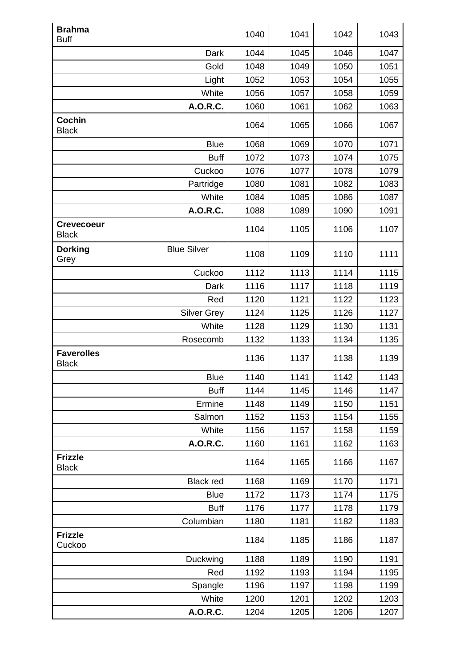| <b>Brahma</b><br><b>Buff</b>      |                    | 1040 | 1041 | 1042 | 1043 |
|-----------------------------------|--------------------|------|------|------|------|
|                                   | Dark               | 1044 | 1045 | 1046 | 1047 |
|                                   | Gold               | 1048 | 1049 | 1050 | 1051 |
|                                   | Light              | 1052 | 1053 | 1054 | 1055 |
|                                   | White              | 1056 | 1057 | 1058 | 1059 |
|                                   | A.O.R.C.           | 1060 | 1061 | 1062 | 1063 |
| <b>Cochin</b><br><b>Black</b>     |                    | 1064 | 1065 | 1066 | 1067 |
|                                   | <b>Blue</b>        | 1068 | 1069 | 1070 | 1071 |
|                                   | <b>Buff</b>        | 1072 | 1073 | 1074 | 1075 |
|                                   | Cuckoo             | 1076 | 1077 | 1078 | 1079 |
|                                   | Partridge          | 1080 | 1081 | 1082 | 1083 |
|                                   | White              | 1084 | 1085 | 1086 | 1087 |
|                                   | A.O.R.C.           | 1088 | 1089 | 1090 | 1091 |
| <b>Crevecoeur</b><br><b>Black</b> |                    | 1104 | 1105 | 1106 | 1107 |
| <b>Dorking</b><br>Grey            | <b>Blue Silver</b> | 1108 | 1109 | 1110 | 1111 |
|                                   | Cuckoo             | 1112 | 1113 | 1114 | 1115 |
|                                   | Dark               | 1116 | 1117 | 1118 | 1119 |
|                                   | Red                | 1120 | 1121 | 1122 | 1123 |
|                                   | <b>Silver Grey</b> | 1124 | 1125 | 1126 | 1127 |
|                                   | White              | 1128 | 1129 | 1130 | 1131 |
|                                   | Rosecomb           | 1132 | 1133 | 1134 | 1135 |
| <b>Faverolles</b><br><b>Black</b> |                    | 1136 | 1137 | 1138 | 1139 |
|                                   | <b>Blue</b>        | 1140 | 1141 | 1142 | 1143 |
|                                   | <b>Buff</b>        | 1144 | 1145 | 1146 | 1147 |
|                                   | Ermine             | 1148 | 1149 | 1150 | 1151 |
|                                   | Salmon             | 1152 | 1153 | 1154 | 1155 |
|                                   | White              | 1156 | 1157 | 1158 | 1159 |
|                                   | A.O.R.C.           | 1160 | 1161 | 1162 | 1163 |
| <b>Frizzle</b><br><b>Black</b>    |                    | 1164 | 1165 | 1166 | 1167 |
|                                   | <b>Black red</b>   | 1168 | 1169 | 1170 | 1171 |
|                                   | <b>Blue</b>        | 1172 | 1173 | 1174 | 1175 |
|                                   | <b>Buff</b>        | 1176 | 1177 | 1178 | 1179 |
|                                   | Columbian          | 1180 | 1181 | 1182 | 1183 |
| <b>Frizzle</b><br>Cuckoo          |                    | 1184 | 1185 | 1186 | 1187 |
|                                   | Duckwing           | 1188 | 1189 | 1190 | 1191 |
|                                   | Red                | 1192 | 1193 | 1194 | 1195 |
|                                   | Spangle            | 1196 | 1197 | 1198 | 1199 |
|                                   | White              | 1200 | 1201 | 1202 | 1203 |
|                                   | A.O.R.C.           | 1204 | 1205 | 1206 | 1207 |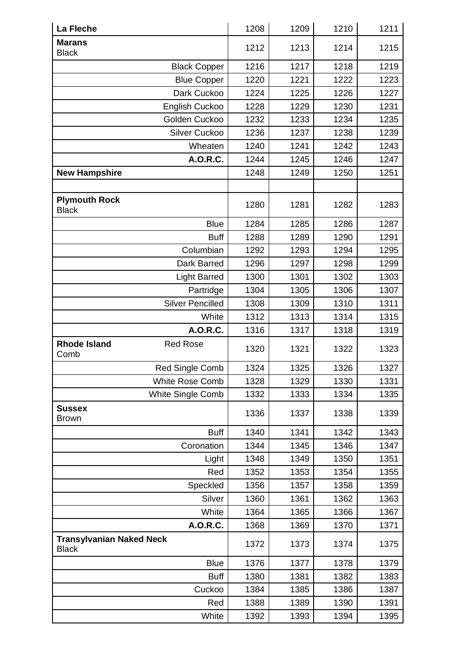| La Fleche                                       | 1208 | 1209 | 1210 | 1211 |
|-------------------------------------------------|------|------|------|------|
| <b>Marans</b><br><b>Black</b>                   | 1212 | 1213 | 1214 | 1215 |
| <b>Black Copper</b>                             | 1216 | 1217 | 1218 | 1219 |
| <b>Blue Copper</b>                              | 1220 | 1221 | 1222 | 1223 |
| Dark Cuckoo                                     | 1224 | 1225 | 1226 | 1227 |
| English Cuckoo                                  | 1228 | 1229 | 1230 | 1231 |
| Golden Cuckoo                                   | 1232 | 1233 | 1234 | 1235 |
| <b>Silver Cuckoo</b>                            | 1236 | 1237 | 1238 | 1239 |
| Wheaten                                         | 1240 | 1241 | 1242 | 1243 |
| A.O.R.C.                                        | 1244 | 1245 | 1246 | 1247 |
| <b>New Hampshire</b>                            | 1248 | 1249 | 1250 | 1251 |
|                                                 |      |      |      |      |
| <b>Plymouth Rock</b><br><b>Black</b>            | 1280 | 1281 | 1282 | 1283 |
| <b>Blue</b>                                     | 1284 | 1285 | 1286 | 1287 |
| <b>Buff</b>                                     | 1288 | 1289 | 1290 | 1291 |
| Columbian                                       | 1292 | 1293 | 1294 | 1295 |
| Dark Barred                                     | 1296 | 1297 | 1298 | 1299 |
| <b>Light Barred</b>                             | 1300 | 1301 | 1302 | 1303 |
| Partridge                                       | 1304 | 1305 | 1306 | 1307 |
| <b>Silver Pencilled</b>                         | 1308 | 1309 | 1310 | 1311 |
| White                                           | 1312 | 1313 | 1314 | 1315 |
| A.O.R.C.                                        | 1316 | 1317 | 1318 | 1319 |
| <b>Rhode Island</b><br><b>Red Rose</b><br>Comb  | 1320 | 1321 | 1322 | 1323 |
| <b>Red Single Comb</b>                          | 1324 | 1325 | 1326 | 1327 |
| White Rose Comb                                 | 1328 | 1329 | 1330 | 1331 |
| White Single Comb                               | 1332 | 1333 | 1334 | 1335 |
| <b>Sussex</b><br><b>Brown</b>                   | 1336 | 1337 | 1338 | 1339 |
| <b>Buff</b>                                     | 1340 | 1341 | 1342 | 1343 |
| Coronation                                      | 1344 | 1345 | 1346 | 1347 |
| Light                                           | 1348 | 1349 | 1350 | 1351 |
| Red                                             | 1352 | 1353 | 1354 | 1355 |
| Speckled                                        | 1356 | 1357 | 1358 | 1359 |
| Silver                                          | 1360 | 1361 | 1362 | 1363 |
| White                                           | 1364 | 1365 | 1366 | 1367 |
| A.O.R.C.                                        | 1368 | 1369 | 1370 | 1371 |
| <b>Transylvanian Naked Neck</b><br><b>Black</b> | 1372 | 1373 | 1374 | 1375 |
| <b>Blue</b>                                     | 1376 | 1377 | 1378 | 1379 |
| <b>Buff</b>                                     | 1380 | 1381 | 1382 | 1383 |
| Cuckoo                                          | 1384 | 1385 | 1386 | 1387 |
| Red                                             | 1388 | 1389 | 1390 | 1391 |
| White                                           | 1392 | 1393 | 1394 | 1395 |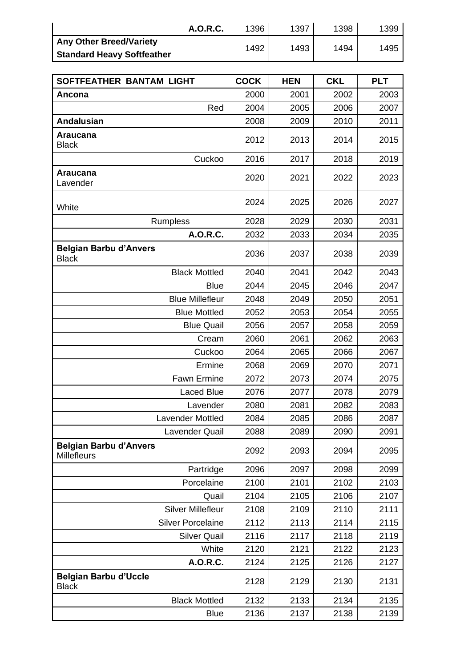|                                   | <b>A.O.R.C.</b> | 1396 | 1397 | 1398 | 1399 |
|-----------------------------------|-----------------|------|------|------|------|
| <b>Any Other Breed/Variety</b>    |                 | 1492 | 1493 | 1494 | 1495 |
| <b>Standard Heavy Softfeather</b> |                 |      |      |      |      |

| SOFTFEATHER BANTAM LIGHT                      | <b>COCK</b> | <b>HEN</b> | <b>CKL</b> | <b>PLT</b> |
|-----------------------------------------------|-------------|------------|------------|------------|
| Ancona                                        | 2000        | 2001       | 2002       | 2003       |
| Red                                           | 2004        | 2005       | 2006       | 2007       |
| <b>Andalusian</b>                             | 2008        | 2009       | 2010       | 2011       |
| <b>Araucana</b><br><b>Black</b>               | 2012        | 2013       | 2014       | 2015       |
| Cuckoo                                        | 2016        | 2017       | 2018       | 2019       |
| <b>Araucana</b><br>Lavender                   | 2020        | 2021       | 2022       | 2023       |
| White                                         | 2024        | 2025       | 2026       | 2027       |
| <b>Rumpless</b>                               | 2028        | 2029       | 2030       | 2031       |
| A.O.R.C.                                      | 2032        | 2033       | 2034       | 2035       |
| <b>Belgian Barbu d'Anvers</b><br><b>Black</b> | 2036        | 2037       | 2038       | 2039       |
| <b>Black Mottled</b>                          | 2040        | 2041       | 2042       | 2043       |
| <b>Blue</b>                                   | 2044        | 2045       | 2046       | 2047       |
| <b>Blue Millefleur</b>                        | 2048        | 2049       | 2050       | 2051       |
| <b>Blue Mottled</b>                           | 2052        | 2053       | 2054       | 2055       |
| <b>Blue Quail</b>                             | 2056        | 2057       | 2058       | 2059       |
| Cream                                         | 2060        | 2061       | 2062       | 2063       |
| Cuckoo                                        | 2064        | 2065       | 2066       | 2067       |
| Ermine                                        | 2068        | 2069       | 2070       | 2071       |
| <b>Fawn Ermine</b>                            | 2072        | 2073       | 2074       | 2075       |
| <b>Laced Blue</b>                             | 2076        | 2077       | 2078       | 2079       |
| Lavender                                      | 2080        | 2081       | 2082       | 2083       |
| Lavender Mottled                              | 2084        | 2085       | 2086       | 2087       |
| Lavender Quail                                | 2088        | 2089       | 2090       | 2091       |
| <b>Belgian Barbu d'Anvers</b><br>Millefleurs  | 2092        | 2093       | 2094       | 2095       |
| Partridge                                     | 2096        | 2097       | 2098       | 2099       |
| Porcelaine                                    | 2100        | 2101       | 2102       | 2103       |
| Quail                                         | 2104        | 2105       | 2106       | 2107       |
| <b>Silver Millefleur</b>                      | 2108        | 2109       | 2110       | 2111       |
| <b>Silver Porcelaine</b>                      | 2112        | 2113       | 2114       | 2115       |
| <b>Silver Quail</b>                           | 2116        | 2117       | 2118       | 2119       |
| White                                         | 2120        | 2121       | 2122       | 2123       |
| A.O.R.C.                                      | 2124        | 2125       | 2126       | 2127       |
| <b>Belgian Barbu d'Uccle</b><br><b>Black</b>  | 2128        | 2129       | 2130       | 2131       |
| <b>Black Mottled</b>                          | 2132        | 2133       | 2134       | 2135       |
| <b>Blue</b>                                   | 2136        | 2137       | 2138       | 2139       |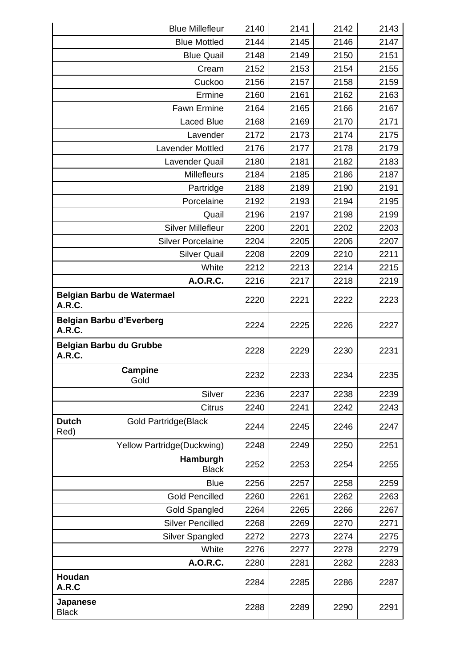| <b>Blue Millefleur</b>                               | 2140 | 2141 | 2142 | 2143 |
|------------------------------------------------------|------|------|------|------|
| <b>Blue Mottled</b>                                  | 2144 | 2145 | 2146 | 2147 |
| <b>Blue Quail</b>                                    | 2148 | 2149 | 2150 | 2151 |
| Cream                                                | 2152 | 2153 | 2154 | 2155 |
| Cuckoo                                               | 2156 | 2157 | 2158 | 2159 |
| Ermine                                               | 2160 | 2161 | 2162 | 2163 |
| <b>Fawn Ermine</b>                                   | 2164 | 2165 | 2166 | 2167 |
| <b>Laced Blue</b>                                    | 2168 | 2169 | 2170 | 2171 |
| Lavender                                             | 2172 | 2173 | 2174 | 2175 |
| <b>Lavender Mottled</b>                              | 2176 | 2177 | 2178 | 2179 |
| Lavender Quail                                       | 2180 | 2181 | 2182 | 2183 |
| <b>Millefleurs</b>                                   | 2184 | 2185 | 2186 | 2187 |
| Partridge                                            | 2188 | 2189 | 2190 | 2191 |
| Porcelaine                                           | 2192 | 2193 | 2194 | 2195 |
| Quail                                                | 2196 | 2197 | 2198 | 2199 |
| <b>Silver Millefleur</b>                             | 2200 | 2201 | 2202 | 2203 |
| <b>Silver Porcelaine</b>                             | 2204 | 2205 | 2206 | 2207 |
| <b>Silver Quail</b>                                  | 2208 | 2209 | 2210 | 2211 |
| White                                                | 2212 | 2213 | 2214 | 2215 |
| A.O.R.C.                                             | 2216 | 2217 | 2218 | 2219 |
| Belgian Barbu de Watermael<br><b>A.R.C.</b>          | 2220 | 2221 | 2222 | 2223 |
| <b>Belgian Barbu d'Everberg</b><br><b>A.R.C.</b>     | 2224 | 2225 | 2226 | 2227 |
| <b>Belgian Barbu du Grubbe</b><br><b>A.R.C.</b>      | 2228 | 2229 | 2230 | 2231 |
| <b>Campine</b><br>Gold                               | 2232 | 2233 | 2234 | 2235 |
| Silver                                               | 2236 | 2237 | 2238 | 2239 |
| <b>Citrus</b>                                        | 2240 | 2241 | 2242 | 2243 |
| <b>Dutch</b><br><b>Gold Partridge (Black</b><br>Red) | 2244 | 2245 | 2246 | 2247 |
| Yellow Partridge (Duckwing)                          | 2248 | 2249 | 2250 | 2251 |
| Hamburgh<br><b>Black</b>                             | 2252 | 2253 | 2254 | 2255 |
| <b>Blue</b>                                          | 2256 | 2257 | 2258 | 2259 |
| <b>Gold Pencilled</b>                                | 2260 | 2261 | 2262 | 2263 |
| <b>Gold Spangled</b>                                 | 2264 | 2265 | 2266 | 2267 |
| <b>Silver Pencilled</b>                              | 2268 | 2269 | 2270 | 2271 |
| Silver Spangled                                      | 2272 | 2273 | 2274 | 2275 |
| White                                                | 2276 | 2277 | 2278 | 2279 |
| A.O.R.C.                                             | 2280 | 2281 | 2282 | 2283 |
| Houdan<br>A.R.C                                      | 2284 | 2285 | 2286 | 2287 |
| Japanese<br><b>Black</b>                             | 2288 | 2289 | 2290 | 2291 |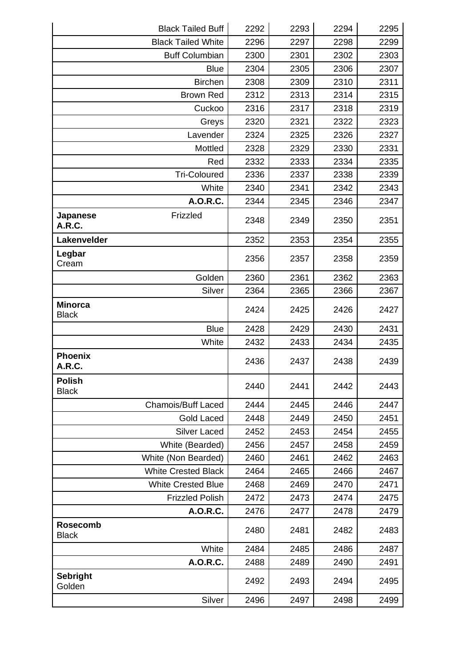| <b>Black Tailed Buff</b>              | 2292 | 2293 | 2294 | 2295 |
|---------------------------------------|------|------|------|------|
| <b>Black Tailed White</b>             | 2296 | 2297 | 2298 | 2299 |
| <b>Buff Columbian</b>                 | 2300 | 2301 | 2302 | 2303 |
| <b>Blue</b>                           | 2304 | 2305 | 2306 | 2307 |
| <b>Birchen</b>                        | 2308 | 2309 | 2310 | 2311 |
| <b>Brown Red</b>                      | 2312 | 2313 | 2314 | 2315 |
| Cuckoo                                | 2316 | 2317 | 2318 | 2319 |
| Greys                                 | 2320 | 2321 | 2322 | 2323 |
| Lavender                              | 2324 | 2325 | 2326 | 2327 |
| Mottled                               | 2328 | 2329 | 2330 | 2331 |
| Red                                   | 2332 | 2333 | 2334 | 2335 |
| <b>Tri-Coloured</b>                   | 2336 | 2337 | 2338 | 2339 |
| White                                 | 2340 | 2341 | 2342 | 2343 |
| A.O.R.C.                              | 2344 | 2345 | 2346 | 2347 |
| Frizzled<br>Japanese<br><b>A.R.C.</b> | 2348 | 2349 | 2350 | 2351 |
| Lakenvelder                           | 2352 | 2353 | 2354 | 2355 |
| Legbar<br>Cream                       | 2356 | 2357 | 2358 | 2359 |
| Golden                                | 2360 | 2361 | 2362 | 2363 |
| Silver                                | 2364 | 2365 | 2366 | 2367 |
| <b>Minorca</b><br><b>Black</b>        | 2424 | 2425 | 2426 | 2427 |
| <b>Blue</b>                           | 2428 | 2429 | 2430 | 2431 |
| White                                 | 2432 | 2433 | 2434 | 2435 |
| <b>Phoenix</b><br>A.R.C.              | 2436 | 2437 | 2438 | 2439 |
| <b>Polish</b><br><b>Black</b>         | 2440 | 2441 | 2442 | 2443 |
| <b>Chamois/Buff Laced</b>             | 2444 | 2445 | 2446 | 2447 |
| Gold Laced                            | 2448 | 2449 | 2450 | 2451 |
| <b>Silver Laced</b>                   | 2452 | 2453 | 2454 | 2455 |
| White (Bearded)                       | 2456 | 2457 | 2458 | 2459 |
| White (Non Bearded)                   | 2460 | 2461 | 2462 | 2463 |
| <b>White Crested Black</b>            | 2464 | 2465 | 2466 | 2467 |
| <b>White Crested Blue</b>             | 2468 | 2469 | 2470 | 2471 |
| <b>Frizzled Polish</b>                | 2472 | 2473 | 2474 | 2475 |
| A.O.R.C.                              | 2476 | 2477 | 2478 | 2479 |
| <b>Rosecomb</b><br><b>Black</b>       | 2480 | 2481 | 2482 | 2483 |
| White                                 | 2484 | 2485 | 2486 | 2487 |
| A.O.R.C.                              | 2488 | 2489 | 2490 | 2491 |
| <b>Sebright</b><br>Golden             | 2492 | 2493 | 2494 | 2495 |
| Silver                                | 2496 | 2497 | 2498 | 2499 |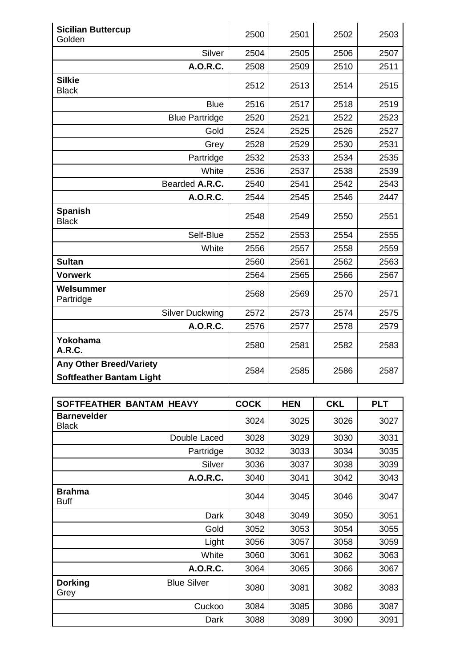| <b>Sicilian Buttercup</b><br>Golden                               | 2500 | 2501 | 2502 | 2503 |
|-------------------------------------------------------------------|------|------|------|------|
| Silver                                                            | 2504 | 2505 | 2506 | 2507 |
| A.O.R.C.                                                          | 2508 | 2509 | 2510 | 2511 |
| <b>Silkie</b><br><b>Black</b>                                     | 2512 | 2513 | 2514 | 2515 |
| <b>Blue</b>                                                       | 2516 | 2517 | 2518 | 2519 |
| <b>Blue Partridge</b>                                             | 2520 | 2521 | 2522 | 2523 |
| Gold                                                              | 2524 | 2525 | 2526 | 2527 |
| Grey                                                              | 2528 | 2529 | 2530 | 2531 |
| Partridge                                                         | 2532 | 2533 | 2534 | 2535 |
| White                                                             | 2536 | 2537 | 2538 | 2539 |
| Bearded A.R.C.                                                    | 2540 | 2541 | 2542 | 2543 |
| A.O.R.C.                                                          | 2544 | 2545 | 2546 | 2447 |
| <b>Spanish</b><br><b>Black</b>                                    | 2548 | 2549 | 2550 | 2551 |
| Self-Blue                                                         | 2552 | 2553 | 2554 | 2555 |
| White                                                             | 2556 | 2557 | 2558 | 2559 |
| <b>Sultan</b>                                                     | 2560 | 2561 | 2562 | 2563 |
| <b>Vorwerk</b>                                                    | 2564 | 2565 | 2566 | 2567 |
| Welsummer<br>Partridge                                            | 2568 | 2569 | 2570 | 2571 |
| <b>Silver Duckwing</b>                                            | 2572 | 2573 | 2574 | 2575 |
| A.O.R.C.                                                          | 2576 | 2577 | 2578 | 2579 |
| Yokohama<br><b>A.R.C.</b>                                         | 2580 | 2581 | 2582 | 2583 |
| <b>Any Other Breed/Variety</b><br><b>Softfeather Bantam Light</b> | 2584 | 2585 | 2586 | 2587 |

| SOFTFEATHER BANTAM HEAVY                     | <b>COCK</b> | <b>HEN</b> | <b>CKL</b> | <b>PLT</b> |
|----------------------------------------------|-------------|------------|------------|------------|
| <b>Barnevelder</b><br><b>Black</b>           | 3024        | 3025       | 3026       | 3027       |
| Double Laced                                 | 3028        | 3029       | 3030       | 3031       |
| Partridge                                    | 3032        | 3033       | 3034       | 3035       |
| Silver                                       | 3036        | 3037       | 3038       | 3039       |
| A.O.R.C.                                     | 3040        | 3041       | 3042       | 3043       |
| <b>Brahma</b><br><b>Buff</b>                 | 3044        | 3045       | 3046       | 3047       |
| Dark                                         | 3048        | 3049       | 3050       | 3051       |
| Gold                                         | 3052        | 3053       | 3054       | 3055       |
| Light                                        | 3056        | 3057       | 3058       | 3059       |
| White                                        | 3060        | 3061       | 3062       | 3063       |
| <b>A.O.R.C.</b>                              | 3064        | 3065       | 3066       | 3067       |
| <b>Dorking</b><br><b>Blue Silver</b><br>Grey | 3080        | 3081       | 3082       | 3083       |
| Cuckoo                                       | 3084        | 3085       | 3086       | 3087       |
| Dark                                         | 3088        | 3089       | 3090       | 3091       |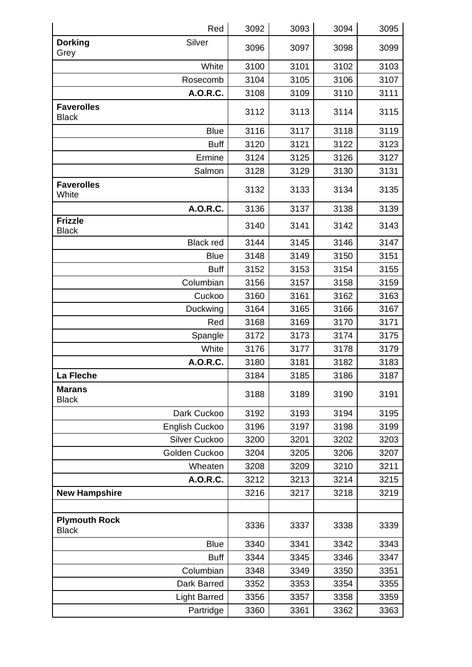| Red                                  | 3092 | 3093 | 3094 | 3095 |
|--------------------------------------|------|------|------|------|
| <b>Dorking</b><br>Silver<br>Grey     | 3096 | 3097 | 3098 | 3099 |
| White                                | 3100 | 3101 | 3102 | 3103 |
| Rosecomb                             | 3104 | 3105 | 3106 | 3107 |
| A.O.R.C.                             | 3108 | 3109 | 3110 | 3111 |
| <b>Faverolles</b><br><b>Black</b>    | 3112 | 3113 | 3114 | 3115 |
| <b>Blue</b>                          | 3116 | 3117 | 3118 | 3119 |
| <b>Buff</b>                          | 3120 | 3121 | 3122 | 3123 |
| Ermine                               | 3124 | 3125 | 3126 | 3127 |
| Salmon                               | 3128 | 3129 | 3130 | 3131 |
| <b>Faverolles</b><br>White           | 3132 | 3133 | 3134 | 3135 |
| A.O.R.C.                             | 3136 | 3137 | 3138 | 3139 |
| <b>Frizzle</b><br><b>Black</b>       | 3140 | 3141 | 3142 | 3143 |
| <b>Black red</b>                     | 3144 | 3145 | 3146 | 3147 |
| <b>Blue</b>                          | 3148 | 3149 | 3150 | 3151 |
| <b>Buff</b>                          | 3152 | 3153 | 3154 | 3155 |
| Columbian                            | 3156 | 3157 | 3158 | 3159 |
| Cuckoo                               | 3160 | 3161 | 3162 | 3163 |
| Duckwing                             | 3164 | 3165 | 3166 | 3167 |
| Red                                  | 3168 | 3169 | 3170 | 3171 |
| Spangle                              | 3172 | 3173 | 3174 | 3175 |
| White                                | 3176 | 3177 | 3178 | 3179 |
| <b>A.O.R.C.</b>                      | 3180 | 3181 | 3182 | 3183 |
| La Fleche                            | 3184 | 3185 | 3186 | 3187 |
| <b>Marans</b><br><b>Black</b>        | 3188 | 3189 | 3190 | 3191 |
| Dark Cuckoo                          | 3192 | 3193 | 3194 | 3195 |
| English Cuckoo                       | 3196 | 3197 | 3198 | 3199 |
| Silver Cuckoo                        | 3200 | 3201 | 3202 | 3203 |
| Golden Cuckoo                        | 3204 | 3205 | 3206 | 3207 |
| Wheaten                              | 3208 | 3209 | 3210 | 3211 |
| A.O.R.C.                             | 3212 | 3213 | 3214 | 3215 |
| <b>New Hampshire</b>                 | 3216 | 3217 | 3218 | 3219 |
|                                      |      |      |      |      |
| <b>Plymouth Rock</b><br><b>Black</b> | 3336 | 3337 | 3338 | 3339 |
| <b>Blue</b>                          | 3340 | 3341 | 3342 | 3343 |
| <b>Buff</b>                          | 3344 | 3345 | 3346 | 3347 |
| Columbian                            | 3348 | 3349 | 3350 | 3351 |
| Dark Barred                          | 3352 | 3353 | 3354 | 3355 |
| <b>Light Barred</b>                  | 3356 | 3357 | 3358 | 3359 |
| Partridge                            | 3360 | 3361 | 3362 | 3363 |